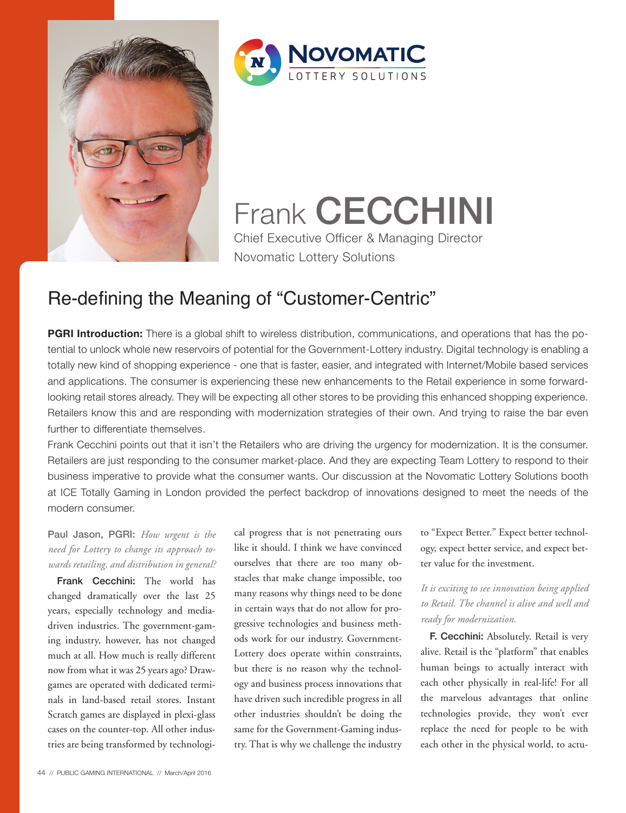



Frank **CECCHINI** Chief Executive Officer & Managing Director Novomatic Lottery Solutions

# Re-defining the Meaning of "Customer-Centric"

**PGRI Introduction:** There is a global shift to wireless distribution, communications, and operations that has the potential to unlock whole new reservoirs of potential for the Government-Lottery industry. Digital technology is enabling a totally new kind of shopping experience - one that is faster, easier, and integrated with Internet/Mobile based services and applications. The consumer is experiencing these new enhancements to the Retail experience in some forwardlooking retail stores already. They will be expecting all other stores to be providing this enhanced shopping experience. Retailers know this and are responding with modernization strategies of their own. And trying to raise the bar even further to differentiate themselves.

Frank Cecchini points out that it isn't the Retailers who are driving the urgency for modernization. It is the consumer. Retailers are just responding to the consumer market-place. And they are expecting Team Lottery to respond to their business imperative to provide what the consumer wants. Our discussion at the Novomatic Lottery Solutions booth at ICE Totally Gaming in London provided the perfect backdrop of innovations designed to meet the needs of the modern consumer.

# Paul Jason, PGRI: *How urgent is the need for Lottery to change its approach towards retailing, and distribution in general?*

Frank Cecchini: The world has changed dramatically over the last 25 years, especially technology and mediadriven industries. The government-gaming industry, however, has not changed much at all. How much is really different now from what it was 25 years ago? Drawgames are operated with dedicated terminals in land-based retail stores. Instant Scratch games are displayed in plexi-glass cases on the counter-top. All other industries are being transformed by technological progress that is not penetrating ours like it should. I think we have convinced ourselves that there are too many obstacles that make change impossible, too many reasons why things need to be done in certain ways that do not allow for progressive technologies and business methods work for our industry. Government-Lottery does operate within constraints, but there is no reason why the technology and business process innovations that have driven such incredible progress in all other industries shouldn't be doing the same for the Government-Gaming industry. That is why we challenge the industry

to "Expect Better." Expect better technology, expect better service, and expect better value for the investment.

# *It is exciting to see innovation being applied to Retail. The channel is alive and well and ready for modernization.*

F. Cecchini: Absolutely. Retail is very alive. Retail is the "platform" that enables human beings to actually interact with each other physically in real-life! For all the marvelous advantages that online technologies provide, they won't ever replace the need for people to be with each other in the physical world, to actu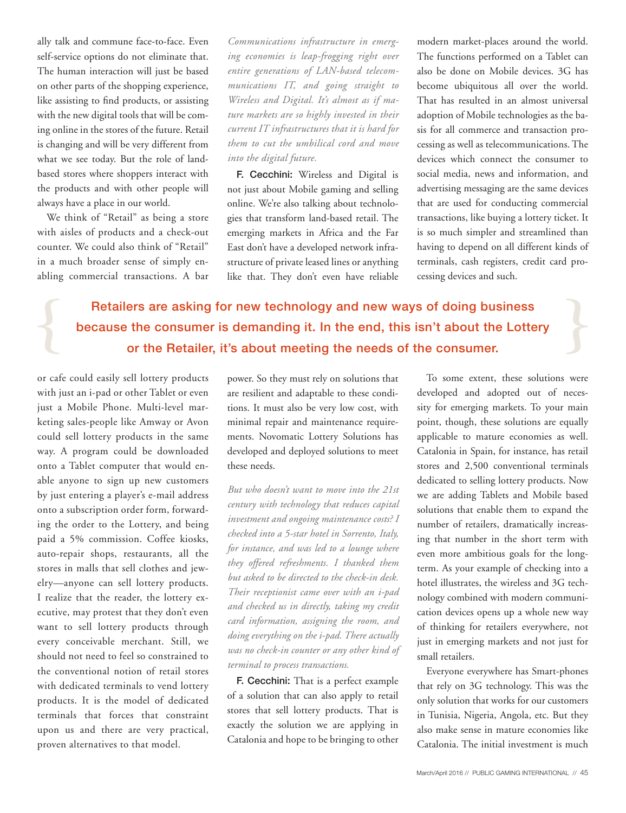ally talk and commune face-to-face. Even self-service options do not eliminate that. The human interaction will just be based on other parts of the shopping experience, like assisting to find products, or assisting with the new digital tools that will be coming online in the stores of the future. Retail is changing and will be very different from what we see today. But the role of landbased stores where shoppers interact with the products and with other people will always have a place in our world.

We think of "Retail" as being a store with aisles of products and a check-out counter. We could also think of "Retail" in a much broader sense of simply enabling commercial transactions. A bar

*Communications infrastructure in emerging economies is leap-frogging right over entire generations of LAN-based telecommunications IT, and going straight to Wireless and Digital. It's almost as if mature markets are so highly invested in their current IT infrastructures that it is hard for them to cut the umbilical cord and move into the digital future.* 

F. Cecchini: Wireless and Digital is not just about Mobile gaming and selling online. We're also talking about technologies that transform land-based retail. The emerging markets in Africa and the Far East don't have a developed network infrastructure of private leased lines or anything like that. They don't even have reliable modern market-places around the world. The functions performed on a Tablet can also be done on Mobile devices. 3G has become ubiquitous all over the world. That has resulted in an almost universal adoption of Mobile technologies as the basis for all commerce and transaction processing as well as telecommunications. The devices which connect the consumer to social media, news and information, and advertising messaging are the same devices that are used for conducting commercial transactions, like buying a lottery ticket. It is so much simpler and streamlined than having to depend on all different kinds of terminals, cash registers, credit card processing devices and such.

Retailers are asking for new technology and new ways of doing business because the consumer is demanding it. In the end, this isn't about the Lottery or the Retailer, it's about meeting the needs of the consumer.

or cafe could easily sell lottery products with just an i-pad or other Tablet or even just a Mobile Phone. Multi-level marketing sales-people like Amway or Avon could sell lottery products in the same way. A program could be downloaded onto a Tablet computer that would enable anyone to sign up new customers by just entering a player's e-mail address onto a subscription order form, forwarding the order to the Lottery, and being paid a 5% commission. Coffee kiosks, auto-repair shops, restaurants, all the stores in malls that sell clothes and jewelry—anyone can sell lottery products. I realize that the reader, the lottery executive, may protest that they don't even want to sell lottery products through every conceivable merchant. Still, we should not need to feel so constrained to the conventional notion of retail stores with dedicated terminals to vend lottery products. It is the model of dedicated terminals that forces that constraint upon us and there are very practical, proven alternatives to that model.

power. So they must rely on solutions that are resilient and adaptable to these conditions. It must also be very low cost, with minimal repair and maintenance requirements. Novomatic Lottery Solutions has developed and deployed solutions to meet these needs.

*But who doesn't want to move into the 21st century with technology that reduces capital investment and ongoing maintenance costs? I checked into a 5-star hotel in Sorrento, Italy, for instance, and was led to a lounge where they offered refreshments. I thanked them but asked to be directed to the check-in desk. Their receptionist came over with an i-pad and checked us in directly, taking my credit card information, assigning the room, and doing everything on the i-pad. There actually was no check-in counter or any other kind of terminal to process transactions.* 

F. Cecchini: That is a perfect example of a solution that can also apply to retail stores that sell lottery products. That is exactly the solution we are applying in Catalonia and hope to be bringing to other

To some extent, these solutions were developed and adopted out of necessity for emerging markets. To your main point, though, these solutions are equally applicable to mature economies as well. Catalonia in Spain, for instance, has retail stores and 2,500 conventional terminals dedicated to selling lottery products. Now we are adding Tablets and Mobile based solutions that enable them to expand the number of retailers, dramatically increasing that number in the short term with even more ambitious goals for the longterm. As your example of checking into a hotel illustrates, the wireless and 3G technology combined with modern communication devices opens up a whole new way of thinking for retailers everywhere, not just in emerging markets and not just for small retailers.

Everyone everywhere has Smart-phones that rely on 3G technology. This was the only solution that works for our customers in Tunisia, Nigeria, Angola, etc. But they also make sense in mature economies like Catalonia. The initial investment is much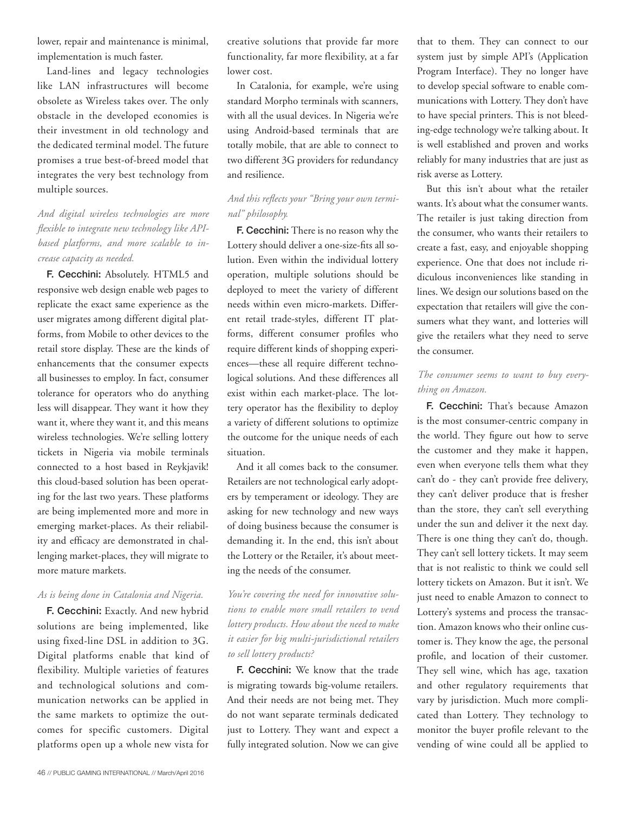lower, repair and maintenance is minimal, implementation is much faster.

Land-lines and legacy technologies like LAN infrastructures will become obsolete as Wireless takes over. The only obstacle in the developed economies is their investment in old technology and the dedicated terminal model. The future promises a true best-of-breed model that integrates the very best technology from multiple sources.

*And digital wireless technologies are more flexible to integrate new technology like APIbased platforms, and more scalable to increase capacity as needed.* 

F. Cecchini: Absolutely. HTML5 and responsive web design enable web pages to replicate the exact same experience as the user migrates among different digital platforms, from Mobile to other devices to the retail store display. These are the kinds of enhancements that the consumer expects all businesses to employ. In fact, consumer tolerance for operators who do anything less will disappear. They want it how they want it, where they want it, and this means wireless technologies. We're selling lottery tickets in Nigeria via mobile terminals connected to a host based in Reykjavik! this cloud-based solution has been operating for the last two years. These platforms are being implemented more and more in emerging market-places. As their reliability and efficacy are demonstrated in challenging market-places, they will migrate to more mature markets.

#### *As is being done in Catalonia and Nigeria.*

F. Cecchini: Exactly. And new hybrid solutions are being implemented, like using fixed-line DSL in addition to 3G. Digital platforms enable that kind of flexibility. Multiple varieties of features and technological solutions and communication networks can be applied in the same markets to optimize the outcomes for specific customers. Digital platforms open up a whole new vista for

creative solutions that provide far more functionality, far more flexibility, at a far lower cost.

In Catalonia, for example, we're using standard Morpho terminals with scanners, with all the usual devices. In Nigeria we're using Android-based terminals that are totally mobile, that are able to connect to two different 3G providers for redundancy and resilience.

### *And this reflects your "Bring your own terminal" philosophy.*

F. Cecchini: There is no reason why the Lottery should deliver a one-size-fits all solution. Even within the individual lottery operation, multiple solutions should be deployed to meet the variety of different needs within even micro-markets. Different retail trade-styles, different IT platforms, different consumer profiles who require different kinds of shopping experiences—these all require different technological solutions. And these differences all exist within each market-place. The lottery operator has the flexibility to deploy a variety of different solutions to optimize the outcome for the unique needs of each situation.

And it all comes back to the consumer. Retailers are not technological early adopters by temperament or ideology. They are asking for new technology and new ways of doing business because the consumer is demanding it. In the end, this isn't about the Lottery or the Retailer, it's about meeting the needs of the consumer.

*You're covering the need for innovative solutions to enable more small retailers to vend lottery products. How about the need to make it easier for big multi-jurisdictional retailers to sell lottery products?*

F. Cecchini: We know that the trade is migrating towards big-volume retailers. And their needs are not being met. They do not want separate terminals dedicated just to Lottery. They want and expect a fully integrated solution. Now we can give that to them. They can connect to our system just by simple API's (Application Program Interface). They no longer have to develop special software to enable communications with Lottery. They don't have to have special printers. This is not bleeding-edge technology we're talking about. It is well established and proven and works reliably for many industries that are just as risk averse as Lottery.

But this isn't about what the retailer wants. It's about what the consumer wants. The retailer is just taking direction from the consumer, who wants their retailers to create a fast, easy, and enjoyable shopping experience. One that does not include ridiculous inconveniences like standing in lines. We design our solutions based on the expectation that retailers will give the consumers what they want, and lotteries will give the retailers what they need to serve the consumer.

#### *The consumer seems to want to buy everything on Amazon.*

F. Cecchini: That's because Amazon is the most consumer-centric company in the world. They figure out how to serve the customer and they make it happen, even when everyone tells them what they can't do - they can't provide free delivery, they can't deliver produce that is fresher than the store, they can't sell everything under the sun and deliver it the next day. There is one thing they can't do, though. They can't sell lottery tickets. It may seem that is not realistic to think we could sell lottery tickets on Amazon. But it isn't. We just need to enable Amazon to connect to Lottery's systems and process the transaction. Amazon knows who their online customer is. They know the age, the personal profile, and location of their customer. They sell wine, which has age, taxation and other regulatory requirements that vary by jurisdiction. Much more complicated than Lottery. They technology to monitor the buyer profile relevant to the vending of wine could all be applied to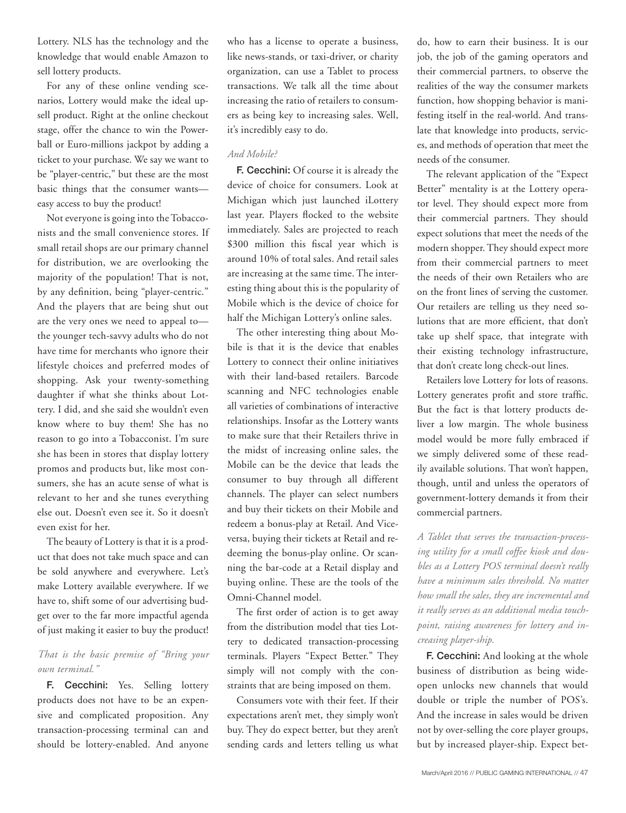Lottery. NLS has the technology and the knowledge that would enable Amazon to sell lottery products.

For any of these online vending scenarios, Lottery would make the ideal upsell product. Right at the online checkout stage, offer the chance to win the Powerball or Euro-millions jackpot by adding a ticket to your purchase. We say we want to be "player-centric," but these are the most basic things that the consumer wants easy access to buy the product!

Not everyone is going into the Tobacconists and the small convenience stores. If small retail shops are our primary channel for distribution, we are overlooking the majority of the population! That is not, by any definition, being "player-centric." And the players that are being shut out are the very ones we need to appeal to the younger tech-savvy adults who do not have time for merchants who ignore their lifestyle choices and preferred modes of shopping. Ask your twenty-something daughter if what she thinks about Lottery. I did, and she said she wouldn't even know where to buy them! She has no reason to go into a Tobacconist. I'm sure she has been in stores that display lottery promos and products but, like most consumers, she has an acute sense of what is relevant to her and she tunes everything else out. Doesn't even see it. So it doesn't even exist for her.

The beauty of Lottery is that it is a product that does not take much space and can be sold anywhere and everywhere. Let's make Lottery available everywhere. If we have to, shift some of our advertising budget over to the far more impactful agenda of just making it easier to buy the product!

#### *That is the basic premise of "Bring your own terminal."*

F. Cecchini: Yes. Selling lottery products does not have to be an expensive and complicated proposition. Any transaction-processing terminal can and should be lottery-enabled. And anyone who has a license to operate a business, like news-stands, or taxi-driver, or charity organization, can use a Tablet to process transactions. We talk all the time about increasing the ratio of retailers to consumers as being key to increasing sales. Well, it's incredibly easy to do.

#### *And Mobile?*

F. Cecchini: Of course it is already the device of choice for consumers. Look at Michigan which just launched iLottery last year. Players flocked to the website immediately. Sales are projected to reach \$300 million this fiscal year which is around 10% of total sales. And retail sales are increasing at the same time. The interesting thing about this is the popularity of Mobile which is the device of choice for half the Michigan Lottery's online sales.

The other interesting thing about Mobile is that it is the device that enables Lottery to connect their online initiatives with their land-based retailers. Barcode scanning and NFC technologies enable all varieties of combinations of interactive relationships. Insofar as the Lottery wants to make sure that their Retailers thrive in the midst of increasing online sales, the Mobile can be the device that leads the consumer to buy through all different channels. The player can select numbers and buy their tickets on their Mobile and redeem a bonus-play at Retail. And Viceversa, buying their tickets at Retail and redeeming the bonus-play online. Or scanning the bar-code at a Retail display and buying online. These are the tools of the Omni-Channel model.

The first order of action is to get away from the distribution model that ties Lottery to dedicated transaction-processing terminals. Players "Expect Better." They simply will not comply with the constraints that are being imposed on them.

Consumers vote with their feet. If their expectations aren't met, they simply won't buy. They do expect better, but they aren't sending cards and letters telling us what

do, how to earn their business. It is our job, the job of the gaming operators and their commercial partners, to observe the realities of the way the consumer markets function, how shopping behavior is manifesting itself in the real-world. And translate that knowledge into products, services, and methods of operation that meet the needs of the consumer.

The relevant application of the "Expect Better" mentality is at the Lottery operator level. They should expect more from their commercial partners. They should expect solutions that meet the needs of the modern shopper. They should expect more from their commercial partners to meet the needs of their own Retailers who are on the front lines of serving the customer. Our retailers are telling us they need solutions that are more efficient, that don't take up shelf space, that integrate with their existing technology infrastructure, that don't create long check-out lines.

Retailers love Lottery for lots of reasons. Lottery generates profit and store traffic. But the fact is that lottery products deliver a low margin. The whole business model would be more fully embraced if we simply delivered some of these readily available solutions. That won't happen, though, until and unless the operators of government-lottery demands it from their commercial partners.

*A Tablet that serves the transaction-processing utility for a small coffee kiosk and doubles as a Lottery POS terminal doesn't really have a minimum sales threshold. No matter how small the sales, they are incremental and it really serves as an additional media touchpoint, raising awareness for lottery and increasing player-ship.* 

F. Cecchini: And looking at the whole business of distribution as being wideopen unlocks new channels that would double or triple the number of POS's. And the increase in sales would be driven not by over-selling the core player groups, but by increased player-ship. Expect bet